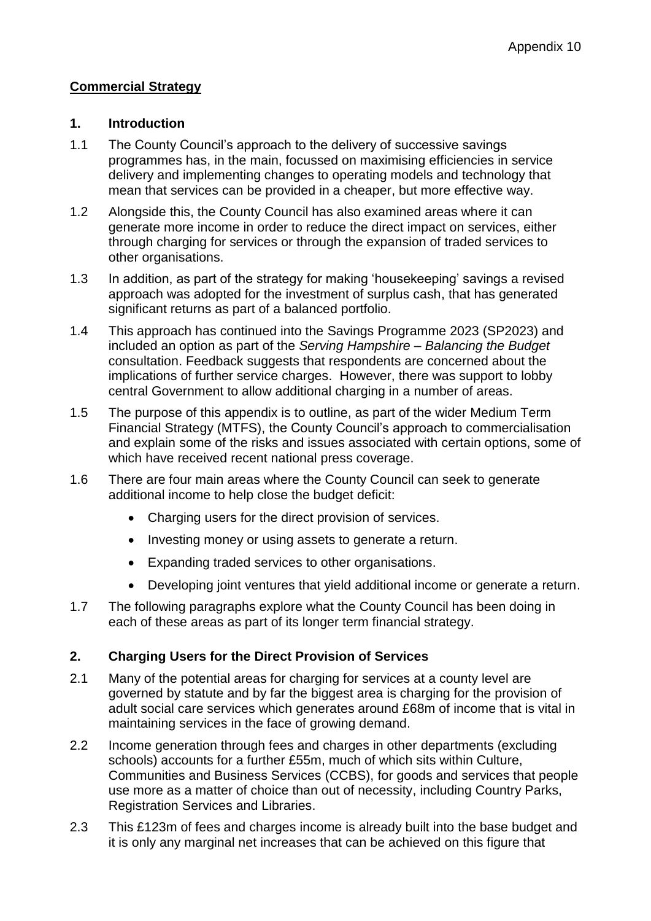# **Commercial Strategy**

#### **1. Introduction**

- 1.1 The County Council's approach to the delivery of successive savings programmes has, in the main, focussed on maximising efficiencies in service delivery and implementing changes to operating models and technology that mean that services can be provided in a cheaper, but more effective way.
- 1.2 Alongside this, the County Council has also examined areas where it can generate more income in order to reduce the direct impact on services, either through charging for services or through the expansion of traded services to other organisations.
- 1.3 In addition, as part of the strategy for making 'housekeeping' savings a revised approach was adopted for the investment of surplus cash, that has generated significant returns as part of a balanced portfolio.
- 1.4 This approach has continued into the Savings Programme 2023 (SP2023) and included an option as part of the *Serving Hampshire – Balancing the Budget* consultation. Feedback suggests that respondents are concerned about the implications of further service charges. However, there was support to lobby central Government to allow additional charging in a number of areas.
- 1.5 The purpose of this appendix is to outline, as part of the wider Medium Term Financial Strategy (MTFS), the County Council's approach to commercialisation and explain some of the risks and issues associated with certain options, some of which have received recent national press coverage.
- 1.6 There are four main areas where the County Council can seek to generate additional income to help close the budget deficit:
	- Charging users for the direct provision of services.
	- Investing money or using assets to generate a return.
	- Expanding traded services to other organisations.
	- Developing joint ventures that yield additional income or generate a return.
- 1.7 The following paragraphs explore what the County Council has been doing in each of these areas as part of its longer term financial strategy.

## **2. Charging Users for the Direct Provision of Services**

- 2.1 Many of the potential areas for charging for services at a county level are governed by statute and by far the biggest area is charging for the provision of adult social care services which generates around £68m of income that is vital in maintaining services in the face of growing demand.
- 2.2 Income generation through fees and charges in other departments (excluding schools) accounts for a further £55m, much of which sits within Culture, Communities and Business Services (CCBS), for goods and services that people use more as a matter of choice than out of necessity, including Country Parks, Registration Services and Libraries.
- 2.3 This £123m of fees and charges income is already built into the base budget and it is only any marginal net increases that can be achieved on this figure that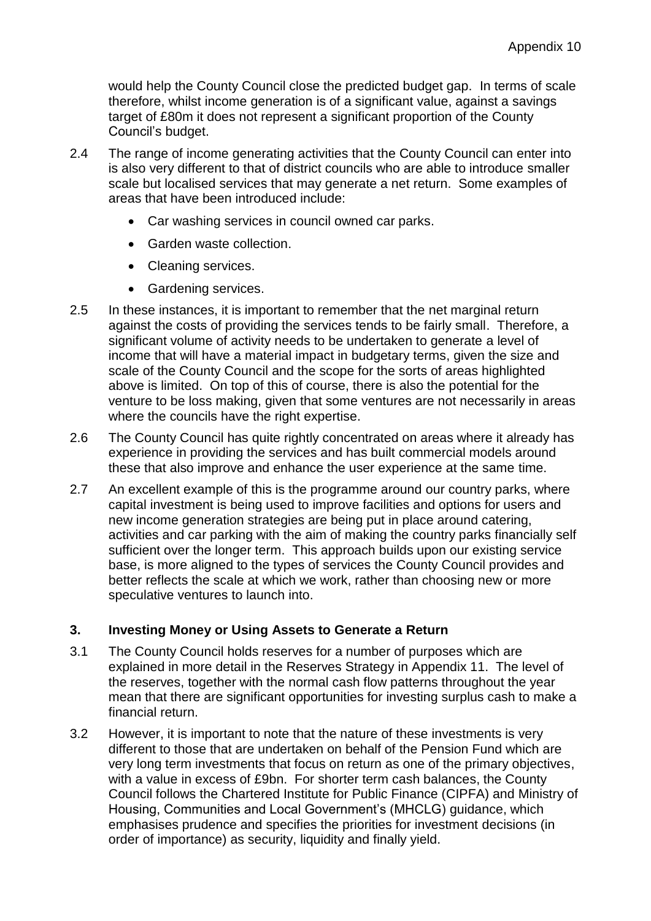would help the County Council close the predicted budget gap. In terms of scale therefore, whilst income generation is of a significant value, against a savings target of £80m it does not represent a significant proportion of the County Council's budget.

- 2.4 The range of income generating activities that the County Council can enter into is also very different to that of district councils who are able to introduce smaller scale but localised services that may generate a net return. Some examples of areas that have been introduced include:
	- Car washing services in council owned car parks.
	- Garden waste collection.
	- Cleaning services.
	- Gardening services.
- 2.5 In these instances, it is important to remember that the net marginal return against the costs of providing the services tends to be fairly small. Therefore, a significant volume of activity needs to be undertaken to generate a level of income that will have a material impact in budgetary terms, given the size and scale of the County Council and the scope for the sorts of areas highlighted above is limited. On top of this of course, there is also the potential for the venture to be loss making, given that some ventures are not necessarily in areas where the councils have the right expertise.
- 2.6 The County Council has quite rightly concentrated on areas where it already has experience in providing the services and has built commercial models around these that also improve and enhance the user experience at the same time.
- 2.7 An excellent example of this is the programme around our country parks, where capital investment is being used to improve facilities and options for users and new income generation strategies are being put in place around catering, activities and car parking with the aim of making the country parks financially self sufficient over the longer term. This approach builds upon our existing service base, is more aligned to the types of services the County Council provides and better reflects the scale at which we work, rather than choosing new or more speculative ventures to launch into.

## **3. Investing Money or Using Assets to Generate a Return**

- 3.1 The County Council holds reserves for a number of purposes which are explained in more detail in the Reserves Strategy in Appendix 11. The level of the reserves, together with the normal cash flow patterns throughout the year mean that there are significant opportunities for investing surplus cash to make a financial return.
- 3.2 However, it is important to note that the nature of these investments is very different to those that are undertaken on behalf of the Pension Fund which are very long term investments that focus on return as one of the primary objectives, with a value in excess of £9bn. For shorter term cash balances, the County Council follows the Chartered Institute for Public Finance (CIPFA) and Ministry of Housing, Communities and Local Government's (MHCLG) guidance, which emphasises prudence and specifies the priorities for investment decisions (in order of importance) as security, liquidity and finally yield.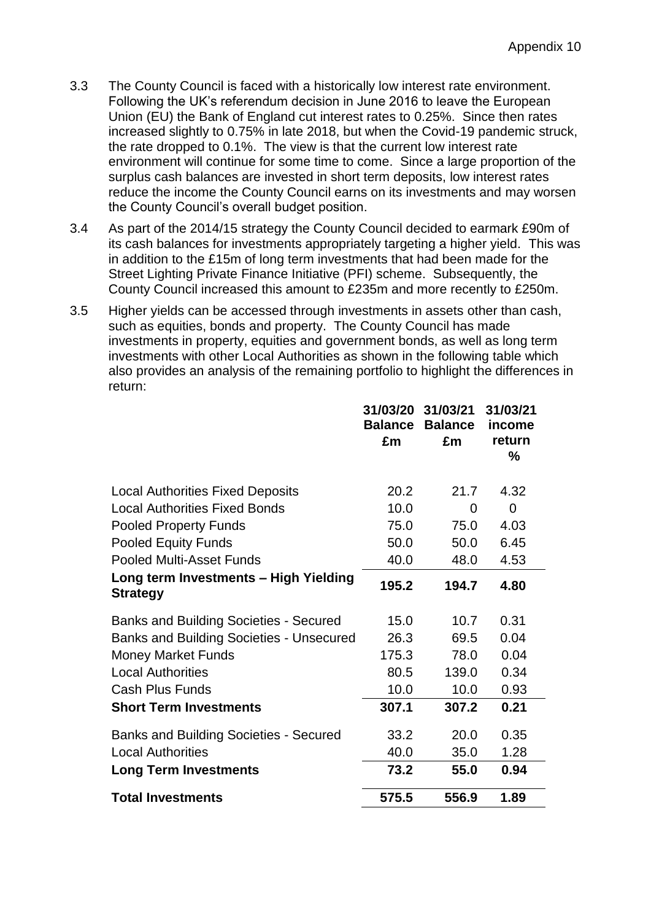- 3.3 The County Council is faced with a historically low interest rate environment. Following the UK's referendum decision in June 2016 to leave the European Union (EU) the Bank of England cut interest rates to 0.25%. Since then rates increased slightly to 0.75% in late 2018, but when the Covid-19 pandemic struck, the rate dropped to 0.1%. The view is that the current low interest rate environment will continue for some time to come. Since a large proportion of the surplus cash balances are invested in short term deposits, low interest rates reduce the income the County Council earns on its investments and may worsen the County Council's overall budget position.
- 3.4 As part of the 2014/15 strategy the County Council decided to earmark £90m of its cash balances for investments appropriately targeting a higher yield. This was in addition to the £15m of long term investments that had been made for the Street Lighting Private Finance Initiative (PFI) scheme. Subsequently, the County Council increased this amount to £235m and more recently to £250m.
- 3.5 Higher yields can be accessed through investments in assets other than cash, such as equities, bonds and property. The County Council has made investments in property, equities and government bonds, as well as long term investments with other Local Authorities as shown in the following table which also provides an analysis of the remaining portfolio to highlight the differences in return:

|                                                          | 31/03/20<br><b>Balance</b> | 31/03/21<br><b>Balance</b> | 31/03/21<br>income |
|----------------------------------------------------------|----------------------------|----------------------------|--------------------|
|                                                          | £m                         | £m                         | return<br>%        |
| <b>Local Authorities Fixed Deposits</b>                  | 20.2                       | 21.7                       | 4.32               |
| <b>Local Authorities Fixed Bonds</b>                     | 10.0                       | 0                          | $\overline{0}$     |
| <b>Pooled Property Funds</b>                             | 75.0                       | 75.0                       | 4.03               |
| <b>Pooled Equity Funds</b>                               | 50.0                       | 50.0                       | 6.45               |
| <b>Pooled Multi-Asset Funds</b>                          | 40.0                       | 48.0                       | 4.53               |
| Long term Investments - High Yielding<br><b>Strategy</b> | 195.2                      | 194.7                      | 4.80               |
| <b>Banks and Building Societies - Secured</b>            | 15.0                       | 10.7                       | 0.31               |
| <b>Banks and Building Societies - Unsecured</b>          | 26.3                       | 69.5                       | 0.04               |
| <b>Money Market Funds</b>                                | 175.3                      | 78.0                       | 0.04               |
| <b>Local Authorities</b>                                 | 80.5                       | 139.0                      | 0.34               |
| <b>Cash Plus Funds</b>                                   | 10.0                       | 10.0                       | 0.93               |
| <b>Short Term Investments</b>                            | 307.1                      | 307.2                      | 0.21               |
| <b>Banks and Building Societies - Secured</b>            | 33.2                       | 20.0                       | 0.35               |
| <b>Local Authorities</b>                                 | 40.0                       | 35.0                       | 1.28               |
| <b>Long Term Investments</b>                             | 73.2                       | 55.0                       | 0.94               |
| <b>Total Investments</b>                                 | 575.5                      | 556.9                      | 1.89               |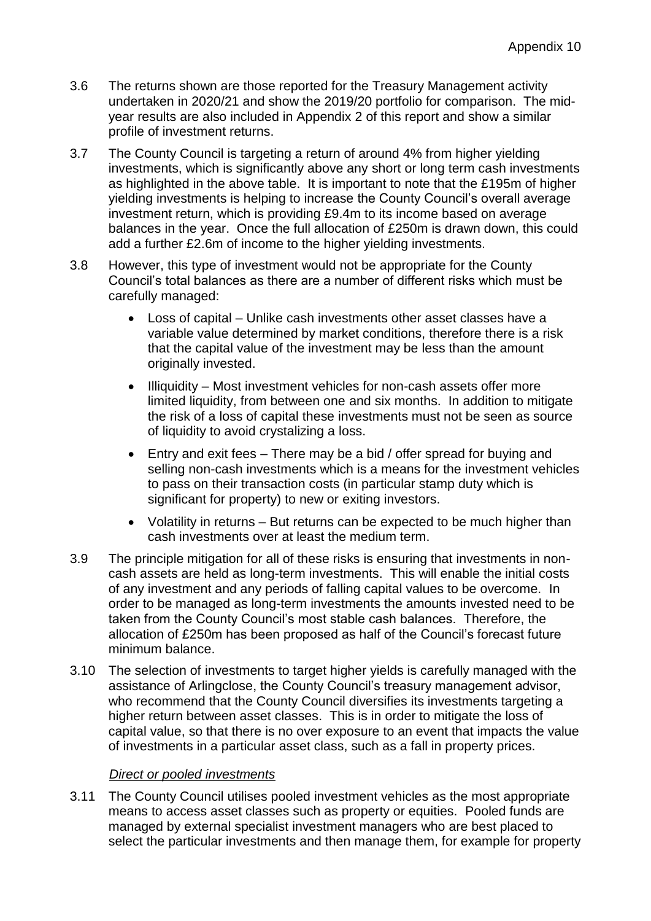- 3.6 The returns shown are those reported for the Treasury Management activity undertaken in 2020/21 and show the 2019/20 portfolio for comparison. The midyear results are also included in Appendix 2 of this report and show a similar profile of investment returns.
- 3.7 The County Council is targeting a return of around 4% from higher yielding investments, which is significantly above any short or long term cash investments as highlighted in the above table. It is important to note that the £195m of higher yielding investments is helping to increase the County Council's overall average investment return, which is providing £9.4m to its income based on average balances in the year. Once the full allocation of £250m is drawn down, this could add a further £2.6m of income to the higher yielding investments.
- 3.8 However, this type of investment would not be appropriate for the County Council's total balances as there are a number of different risks which must be carefully managed:
	- Loss of capital Unlike cash investments other asset classes have a variable value determined by market conditions, therefore there is a risk that the capital value of the investment may be less than the amount originally invested.
	- Illiquidity Most investment vehicles for non-cash assets offer more limited liquidity, from between one and six months. In addition to mitigate the risk of a loss of capital these investments must not be seen as source of liquidity to avoid crystalizing a loss.
	- Entry and exit fees There may be a bid / offer spread for buying and selling non-cash investments which is a means for the investment vehicles to pass on their transaction costs (in particular stamp duty which is significant for property) to new or exiting investors.
	- Volatility in returns But returns can be expected to be much higher than cash investments over at least the medium term.
- 3.9 The principle mitigation for all of these risks is ensuring that investments in noncash assets are held as long-term investments. This will enable the initial costs of any investment and any periods of falling capital values to be overcome. In order to be managed as long-term investments the amounts invested need to be taken from the County Council's most stable cash balances. Therefore, the allocation of £250m has been proposed as half of the Council's forecast future minimum balance.
- 3.10 The selection of investments to target higher yields is carefully managed with the assistance of Arlingclose, the County Council's treasury management advisor, who recommend that the County Council diversifies its investments targeting a higher return between asset classes. This is in order to mitigate the loss of capital value, so that there is no over exposure to an event that impacts the value of investments in a particular asset class, such as a fall in property prices.

## *Direct or pooled investments*

3.11 The County Council utilises pooled investment vehicles as the most appropriate means to access asset classes such as property or equities. Pooled funds are managed by external specialist investment managers who are best placed to select the particular investments and then manage them, for example for property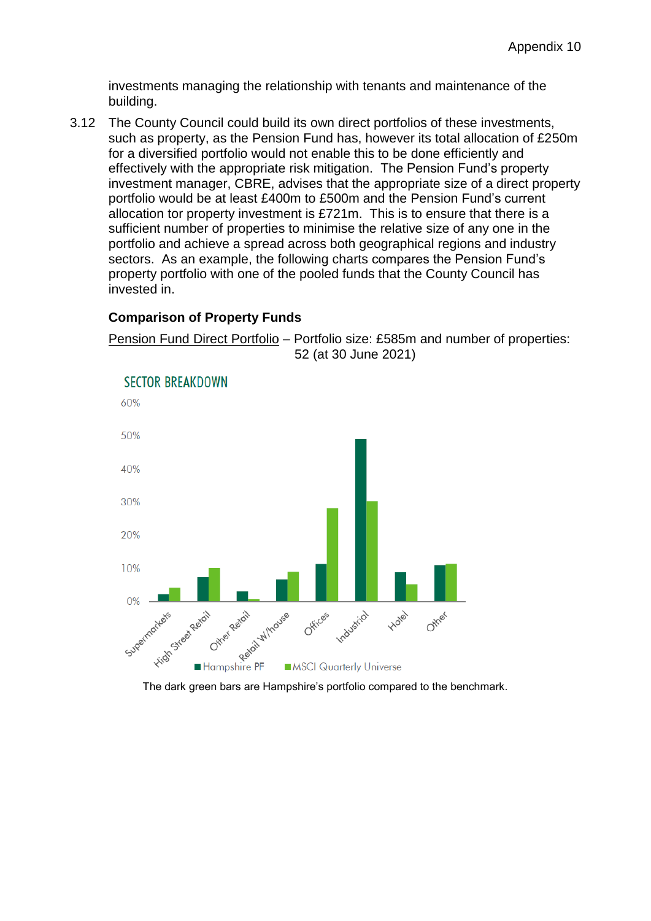investments managing the relationship with tenants and maintenance of the building.

3.12 The County Council could build its own direct portfolios of these investments, such as property, as the Pension Fund has, however its total allocation of £250m for a diversified portfolio would not enable this to be done efficiently and effectively with the appropriate risk mitigation. The Pension Fund's property investment manager, CBRE, advises that the appropriate size of a direct property portfolio would be at least £400m to £500m and the Pension Fund's current allocation tor property investment is £721m. This is to ensure that there is a sufficient number of properties to minimise the relative size of any one in the portfolio and achieve a spread across both geographical regions and industry sectors. As an example, the following charts compares the Pension Fund's property portfolio with one of the pooled funds that the County Council has invested in.

## **Comparison of Property Funds**



Pension Fund Direct Portfolio – Portfolio size: £585m and number of properties:

The dark green bars are Hampshire's portfolio compared to the benchmark.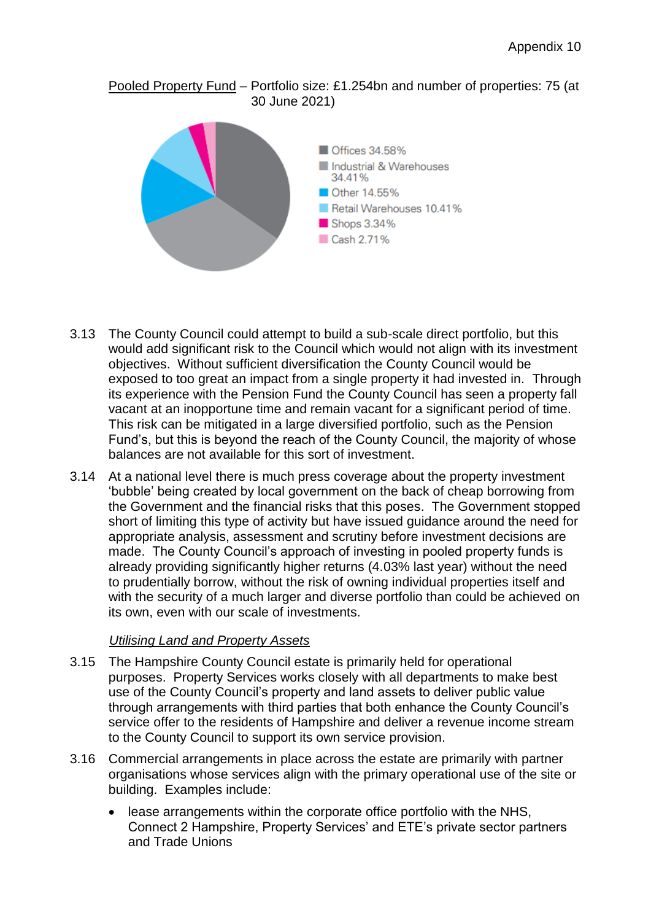## Pooled Property Fund – Portfolio size: £1.254bn and number of properties: 75 (at 30 June 2021)



- 3.13 The County Council could attempt to build a sub-scale direct portfolio, but this would add significant risk to the Council which would not align with its investment objectives. Without sufficient diversification the County Council would be exposed to too great an impact from a single property it had invested in. Through its experience with the Pension Fund the County Council has seen a property fall vacant at an inopportune time and remain vacant for a significant period of time. This risk can be mitigated in a large diversified portfolio, such as the Pension Fund's, but this is beyond the reach of the County Council, the majority of whose balances are not available for this sort of investment.
- 3.14 At a national level there is much press coverage about the property investment 'bubble' being created by local government on the back of cheap borrowing from the Government and the financial risks that this poses. The Government stopped short of limiting this type of activity but have issued guidance around the need for appropriate analysis, assessment and scrutiny before investment decisions are made. The County Council's approach of investing in pooled property funds is already providing significantly higher returns (4.03% last year) without the need to prudentially borrow, without the risk of owning individual properties itself and with the security of a much larger and diverse portfolio than could be achieved on its own, even with our scale of investments.

## *Utilising Land and Property Assets*

- 3.15 The Hampshire County Council estate is primarily held for operational purposes. Property Services works closely with all departments to make best use of the County Council's property and land assets to deliver public value through arrangements with third parties that both enhance the County Council's service offer to the residents of Hampshire and deliver a revenue income stream to the County Council to support its own service provision.
- 3.16 Commercial arrangements in place across the estate are primarily with partner organisations whose services align with the primary operational use of the site or building. Examples include:
	- lease arrangements within the corporate office portfolio with the NHS, Connect 2 Hampshire, Property Services' and ETE's private sector partners and Trade Unions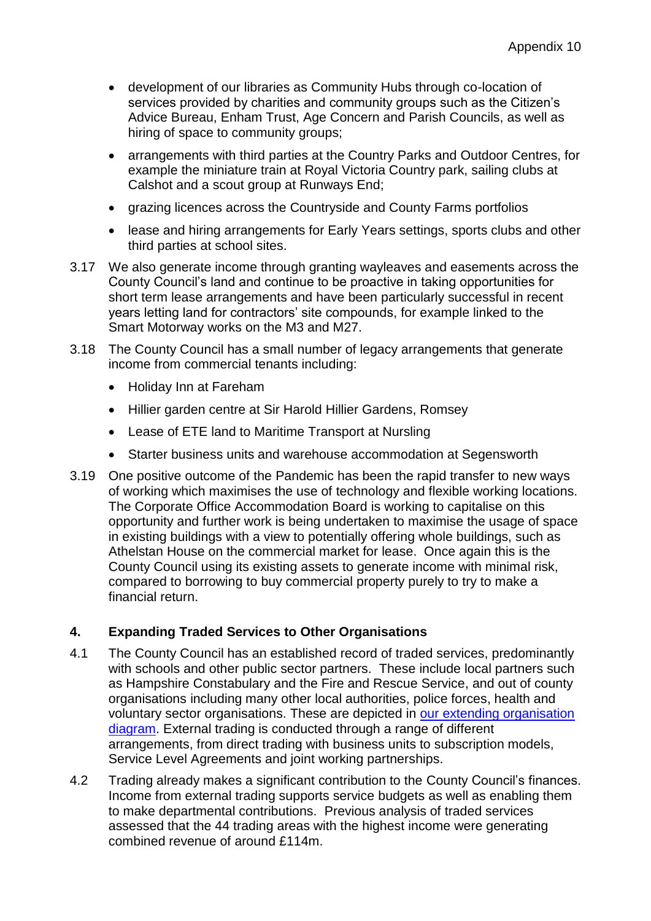- development of our libraries as Community Hubs through co-location of services provided by charities and community groups such as the Citizen's Advice Bureau, Enham Trust, Age Concern and Parish Councils, as well as hiring of space to community groups;
- arrangements with third parties at the Country Parks and Outdoor Centres, for example the miniature train at Royal Victoria Country park, sailing clubs at Calshot and a scout group at Runways End;
- grazing licences across the Countryside and County Farms portfolios
- lease and hiring arrangements for Early Years settings, sports clubs and other third parties at school sites.
- 3.17 We also generate income through granting wayleaves and easements across the County Council's land and continue to be proactive in taking opportunities for short term lease arrangements and have been particularly successful in recent years letting land for contractors' site compounds, for example linked to the Smart Motorway works on the M3 and M27.
- 3.18 The County Council has a small number of legacy arrangements that generate income from commercial tenants including:
	- Holiday Inn at Fareham
	- Hillier garden centre at Sir Harold Hillier Gardens, Romsey
	- Lease of ETE land to Maritime Transport at Nursling
	- Starter business units and warehouse accommodation at Segensworth
- 3.19 One positive outcome of the Pandemic has been the rapid transfer to new ways of working which maximises the use of technology and flexible working locations. The Corporate Office Accommodation Board is working to capitalise on this opportunity and further work is being undertaken to maximise the usage of space in existing buildings with a view to potentially offering whole buildings, such as Athelstan House on the commercial market for lease. Once again this is the County Council using its existing assets to generate income with minimal risk, compared to borrowing to buy commercial property purely to try to make a financial return.

# **4. Expanding Traded Services to Other Organisations**

- 4.1 The County Council has an established record of traded services, predominantly with schools and other public sector partners. These include local partners such as Hampshire Constabulary and the Fire and Rescue Service, and out of county organisations including many other local authorities, police forces, health and voluntary sector organisations. These are depicted in [our extending organisation](https://documents.hants.gov.uk/aboutthecouncil/HCC%20partnership%20slide%20170221.pdf)  [diagram.](https://documents.hants.gov.uk/aboutthecouncil/HCC%20partnership%20slide%20170221.pdf) External trading is conducted through a range of different arrangements, from direct trading with business units to subscription models, Service Level Agreements and joint working partnerships.
- 4.2 Trading already makes a significant contribution to the County Council's finances. Income from external trading supports service budgets as well as enabling them to make departmental contributions. Previous analysis of traded services assessed that the 44 trading areas with the highest income were generating combined revenue of around £114m.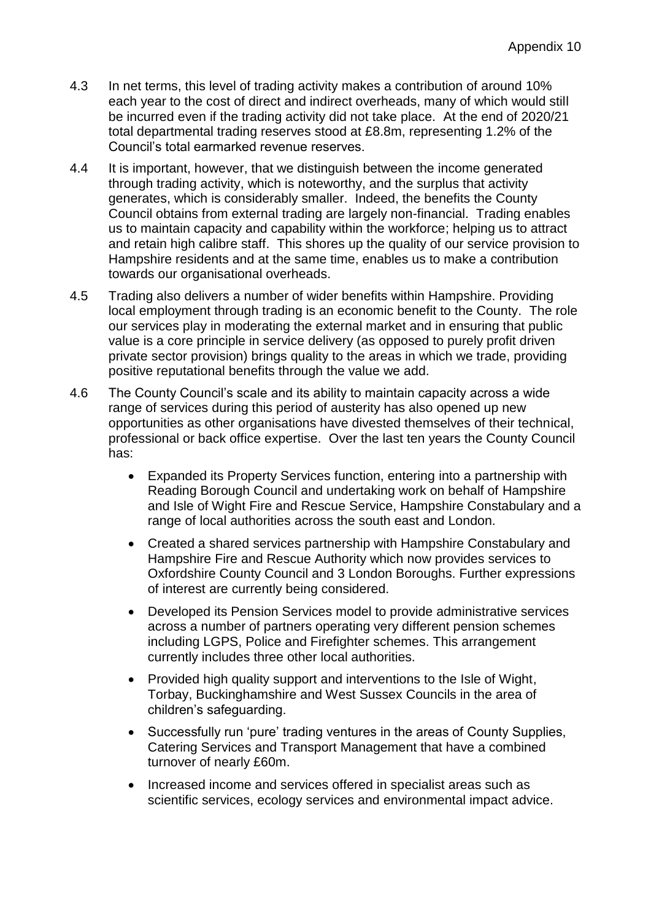- 4.3 In net terms, this level of trading activity makes a contribution of around 10% each year to the cost of direct and indirect overheads, many of which would still be incurred even if the trading activity did not take place. At the end of 2020/21 total departmental trading reserves stood at £8.8m, representing 1.2% of the Council's total earmarked revenue reserves.
- 4.4 It is important, however, that we distinguish between the income generated through trading activity, which is noteworthy, and the surplus that activity generates, which is considerably smaller. Indeed, the benefits the County Council obtains from external trading are largely non-financial. Trading enables us to maintain capacity and capability within the workforce; helping us to attract and retain high calibre staff. This shores up the quality of our service provision to Hampshire residents and at the same time, enables us to make a contribution towards our organisational overheads.
- 4.5 Trading also delivers a number of wider benefits within Hampshire. Providing local employment through trading is an economic benefit to the County. The role our services play in moderating the external market and in ensuring that public value is a core principle in service delivery (as opposed to purely profit driven private sector provision) brings quality to the areas in which we trade, providing positive reputational benefits through the value we add.
- 4.6 The County Council's scale and its ability to maintain capacity across a wide range of services during this period of austerity has also opened up new opportunities as other organisations have divested themselves of their technical, professional or back office expertise. Over the last ten years the County Council has:
	- Expanded its Property Services function, entering into a partnership with Reading Borough Council and undertaking work on behalf of Hampshire and Isle of Wight Fire and Rescue Service, Hampshire Constabulary and a range of local authorities across the south east and London.
	- Created a shared services partnership with Hampshire Constabulary and Hampshire Fire and Rescue Authority which now provides services to Oxfordshire County Council and 3 London Boroughs. Further expressions of interest are currently being considered.
	- Developed its Pension Services model to provide administrative services across a number of partners operating very different pension schemes including LGPS, Police and Firefighter schemes. This arrangement currently includes three other local authorities.
	- Provided high quality support and interventions to the Isle of Wight, Torbay, Buckinghamshire and West Sussex Councils in the area of children's safeguarding.
	- Successfully run 'pure' trading ventures in the areas of County Supplies, Catering Services and Transport Management that have a combined turnover of nearly £60m.
	- Increased income and services offered in specialist areas such as scientific services, ecology services and environmental impact advice.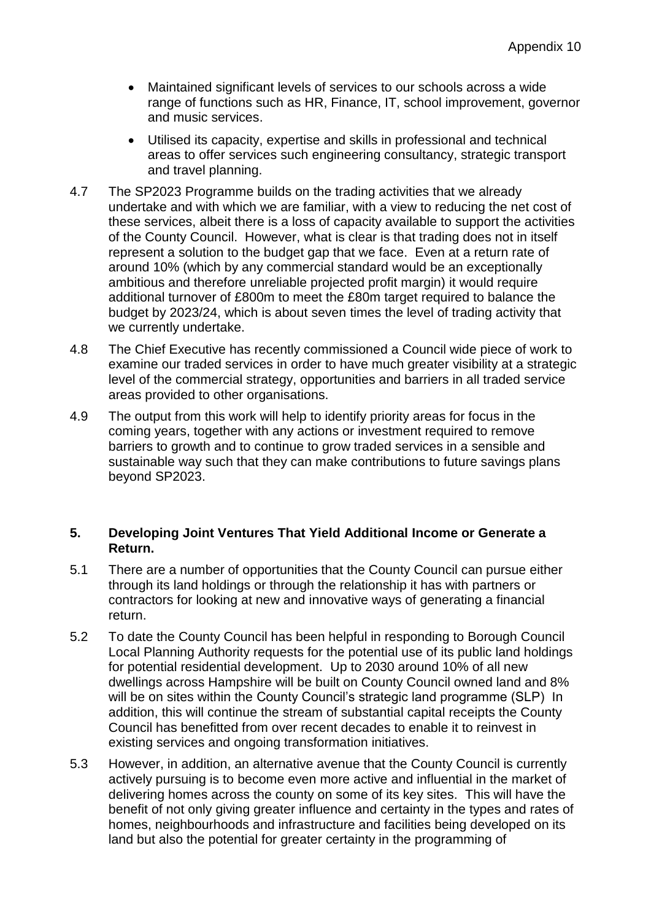- Maintained significant levels of services to our schools across a wide range of functions such as HR, Finance, IT, school improvement, governor and music services.
- Utilised its capacity, expertise and skills in professional and technical areas to offer services such engineering consultancy, strategic transport and travel planning.
- 4.7 The SP2023 Programme builds on the trading activities that we already undertake and with which we are familiar, with a view to reducing the net cost of these services, albeit there is a loss of capacity available to support the activities of the County Council. However, what is clear is that trading does not in itself represent a solution to the budget gap that we face. Even at a return rate of around 10% (which by any commercial standard would be an exceptionally ambitious and therefore unreliable projected profit margin) it would require additional turnover of £800m to meet the £80m target required to balance the budget by 2023/24, which is about seven times the level of trading activity that we currently undertake.
- 4.8 The Chief Executive has recently commissioned a Council wide piece of work to examine our traded services in order to have much greater visibility at a strategic level of the commercial strategy, opportunities and barriers in all traded service areas provided to other organisations.
- 4.9 The output from this work will help to identify priority areas for focus in the coming years, together with any actions or investment required to remove barriers to growth and to continue to grow traded services in a sensible and sustainable way such that they can make contributions to future savings plans beyond SP2023.

#### **5. Developing Joint Ventures That Yield Additional Income or Generate a Return.**

- 5.1 There are a number of opportunities that the County Council can pursue either through its land holdings or through the relationship it has with partners or contractors for looking at new and innovative ways of generating a financial return.
- 5.2 To date the County Council has been helpful in responding to Borough Council Local Planning Authority requests for the potential use of its public land holdings for potential residential development. Up to 2030 around 10% of all new dwellings across Hampshire will be built on County Council owned land and 8% will be on sites within the County Council's strategic land programme (SLP) In addition, this will continue the stream of substantial capital receipts the County Council has benefitted from over recent decades to enable it to reinvest in existing services and ongoing transformation initiatives.
- 5.3 However, in addition, an alternative avenue that the County Council is currently actively pursuing is to become even more active and influential in the market of delivering homes across the county on some of its key sites. This will have the benefit of not only giving greater influence and certainty in the types and rates of homes, neighbourhoods and infrastructure and facilities being developed on its land but also the potential for greater certainty in the programming of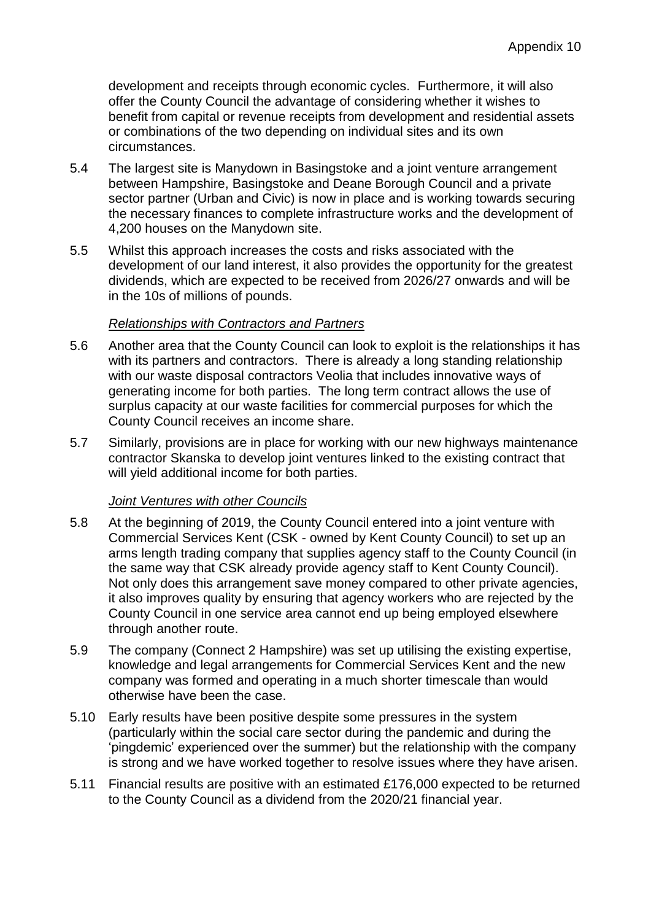development and receipts through economic cycles. Furthermore, it will also offer the County Council the advantage of considering whether it wishes to benefit from capital or revenue receipts from development and residential assets or combinations of the two depending on individual sites and its own circumstances.

- 5.4 The largest site is Manydown in Basingstoke and a joint venture arrangement between Hampshire, Basingstoke and Deane Borough Council and a private sector partner (Urban and Civic) is now in place and is working towards securing the necessary finances to complete infrastructure works and the development of 4,200 houses on the Manydown site.
- 5.5 Whilst this approach increases the costs and risks associated with the development of our land interest, it also provides the opportunity for the greatest dividends, which are expected to be received from 2026/27 onwards and will be in the 10s of millions of pounds.

## *Relationships with Contractors and Partners*

- 5.6 Another area that the County Council can look to exploit is the relationships it has with its partners and contractors. There is already a long standing relationship with our waste disposal contractors Veolia that includes innovative ways of generating income for both parties. The long term contract allows the use of surplus capacity at our waste facilities for commercial purposes for which the County Council receives an income share.
- 5.7 Similarly, provisions are in place for working with our new highways maintenance contractor Skanska to develop joint ventures linked to the existing contract that will yield additional income for both parties.

## *Joint Ventures with other Councils*

- 5.8 At the beginning of 2019, the County Council entered into a joint venture with Commercial Services Kent (CSK - owned by Kent County Council) to set up an arms length trading company that supplies agency staff to the County Council (in the same way that CSK already provide agency staff to Kent County Council). Not only does this arrangement save money compared to other private agencies, it also improves quality by ensuring that agency workers who are rejected by the County Council in one service area cannot end up being employed elsewhere through another route.
- 5.9 The company (Connect 2 Hampshire) was set up utilising the existing expertise, knowledge and legal arrangements for Commercial Services Kent and the new company was formed and operating in a much shorter timescale than would otherwise have been the case.
- 5.10 Early results have been positive despite some pressures in the system (particularly within the social care sector during the pandemic and during the 'pingdemic' experienced over the summer) but the relationship with the company is strong and we have worked together to resolve issues where they have arisen.
- 5.11 Financial results are positive with an estimated £176,000 expected to be returned to the County Council as a dividend from the 2020/21 financial year.